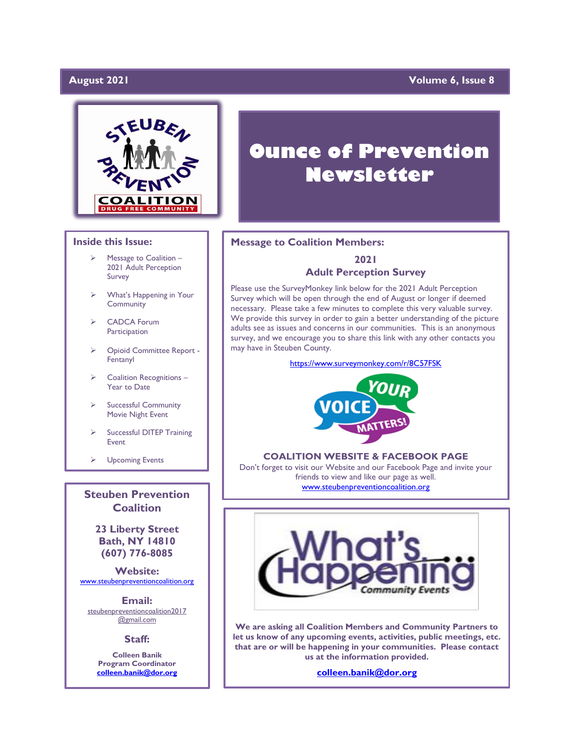#### **August 2021**

#### **Yolume 6, Issue 8**



#### **Inside this Issue:**

- Message to Coalition -2021 Adult Perception Survey
- ➢ What's Happening in Your Community
- ➢ CADCA Forum **Participation**
- ➢ Opioid Committee Report Fentanyl
- ➢ Coalition Recognitions Year to Date
- Successful Community Movie Night Event
- Successful DITEP Training Event

➢ Upcoming Events

**Steuben Prevention Coalition**

> **23 Liberty Street Bath, NY 14810 (607) 776-8085**

**Website:**  [www.steubenpreventioncoalition.org](http://www.steubenpreventioncoalition.org/)

**Email:**  steubenpreventioncoalition2017 @gmail.com

**Staff:**

**Colleen Banik Program Coordinator [colleen.banik@dor.org](mailto:colleen.banik@dor.org)**

# **Ounce of Prevention Newsletter**

#### **Message to Coalition Members:**

#### **2021 Adult Perception Survey**

Please use the SurveyMonkey link below for the 2021 Adult Perception Survey which will be open through the end of August or longer if deemed necessary. Please take a few minutes to complete this very valuable survey. We provide this survey in order to gain a better understanding of the picture adults see as issues and concerns in our communities. This is an anonymous survey, and we encourage you to share this link with any other contacts you may have in Steuben County.

<https://www.surveymonkey.com/r/8C57FSK>



#### **COALITION WEBSITE & FACEBOOK PAGE**

Don't forget to visit our Website and our Facebook Page and invite your friends to view and like our page as well. [www.steubenpreventioncoalition.org](http://www.steubenpreventioncoalition.org/)



**We are asking all Coalition Members and Community Partners to let us know of any upcoming events, activities, public meetings, etc. that are or will be happening in your communities. Please contact us at the information provided.**

**[colleen.banik@dor.org](mailto:colleen.banik@dor.org)**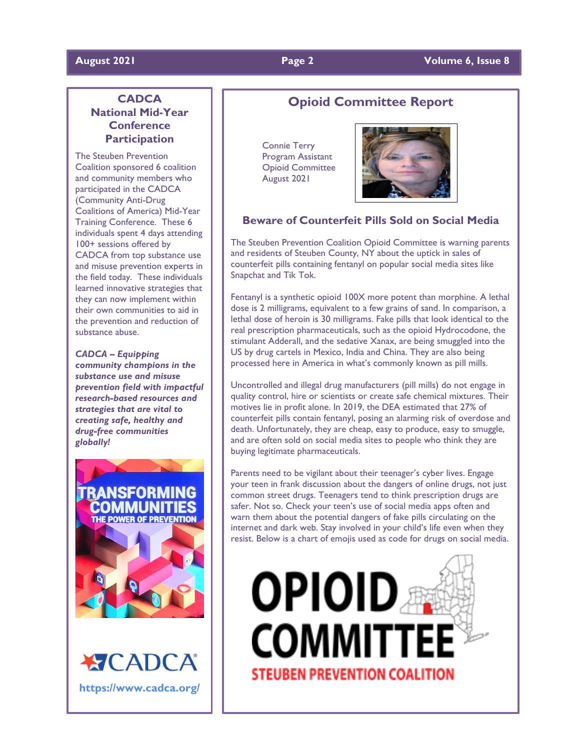### **CADCA National Mid-Year Conference Participation**

The Steuben Prevention Coalition sponsored 6 coalition and community members who participated in the CADCA (Community Anti-Drug Coalitions of America) Mid-Year Training Conference. These 6 individuals spent 4 days attending 100+ sessions offered by CADCA from top substance use and misuse prevention experts in the field today. These individuals learned innovative strategies that they can now implement within their own communities to aid in the prevention and reduction of substance abuse.

*CADCA – Equipping community champions in the substance use and misuse prevention field with impactful research-based resources and strategies that are vital to creating safe, healthy and drug-free communities globally!*



**XICAD https://www.cadca.org/**

### **Opioid Committee Report**

 Connie Terry Program Assistant Opioid Committee August 2021



#### **Beware of Counterfeit Pills Sold on Social Media**

The Steuben Prevention Coalition Opioid Committee is warning parents and residents of Steuben County, NY about the uptick in sales of counterfeit pills containing fentanyl on popular social media sites like Snapchat and Tik Tok.

Fentanyl is a synthetic opioid 100X more potent than morphine. A lethal dose is 2 milligrams, equivalent to a few grains of sand. In comparison, a lethal dose of heroin is 30 milligrams. Fake pills that look identical to the real prescription pharmaceuticals, such as the opioid Hydrocodone, the stimulant Adderall, and the sedative Xanax, are being smuggled into the US by drug cartels in Mexico, India and China. They are also being processed here in America in what's commonly known as pill mills.

Uncontrolled and illegal drug manufacturers (pill mills) do not engage in quality control, hire or scientists or create safe chemical mixtures. Their motives lie in profit alone. In 2019, the DEA estimated that 27% of counterfeit pills contain fentanyl, posing an alarming risk of overdose and death. Unfortunately, they are cheap, easy to produce, easy to smuggle, and are often sold on social media sites to people who think they are buying legitimate pharmaceuticals.

Parents need to be vigilant about their teenager's cyber lives. Engage your teen in frank discussion about the dangers of online drugs, not just common street drugs. Teenagers tend to think prescription drugs are safer. Not so. Check your teen's use of social media apps often and warn them about the potential dangers of fake pills circulating on the internet and dark web. Stay involved in your child's life even when they resist. Below is a chart of emojis used as code for drugs on social media.

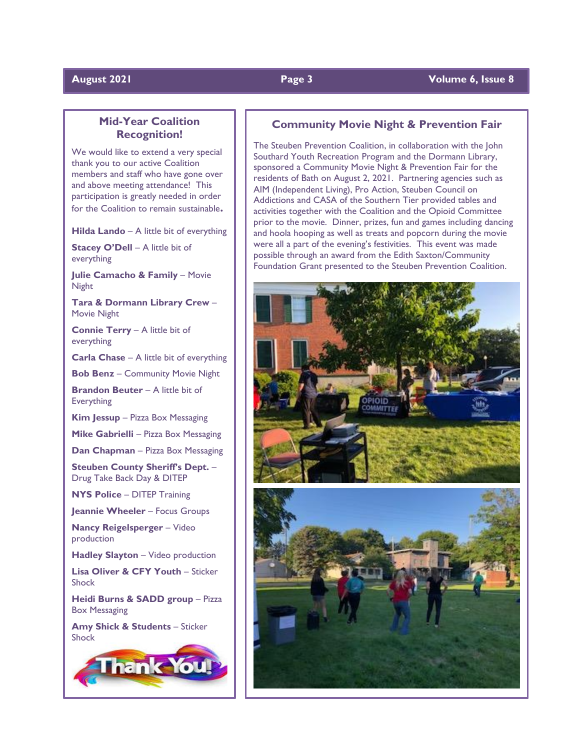#### **August 2021 Page 3 Volume 6, Issue 8**

### **Mid-Year Coalition Recognition!**

We would like to extend a very special thank you to our active Coalition members and staff who have gone over and above meeting attendance! This participation is greatly needed in order for the Coalition to remain sustainable**.**

**Hilda Lando** – A little bit of everything

**Stacey O'Dell** – A little bit of everything

**Julie Camacho & Family** – Movie **Night** 

**Tara & Dormann Library Crew** – Movie Night

**Connie Terry** – A little bit of everything

**Carla Chase** – A little bit of everything

**Bob Benz** – Community Movie Night

**Brandon Beuter** – A little bit of **Everything** 

**Kim Jessup** – Pizza Box Messaging

**Mike Gabrielli** – Pizza Box Messaging

**Dan Chapman** – Pizza Box Messaging

**Steuben County Sheriff's Dept.** – Drug Take Back Day & DITEP

**NYS Police** – DITEP Training

**Jeannie Wheeler** – Focus Groups

**Nancy Reigelsperger** – Video production

**Hadley Slayton** – Video production

**Lisa Oliver & CFY Youth** – Sticker Shock

**Heidi Burns & SADD group** – Pizza Box Messaging

**Amy Shick & Students** – Sticker Shock



#### **Community Movie Night & Prevention Fair**

The Steuben Prevention Coalition, in collaboration with the John Southard Youth Recreation Program and the Dormann Library, sponsored a Community Movie Night & Prevention Fair for the residents of Bath on August 2, 2021. Partnering agencies such as AIM (Independent Living), Pro Action, Steuben Council on Addictions and CASA of the Southern Tier provided tables and activities together with the Coalition and the Opioid Committee prior to the movie. Dinner, prizes, fun and games including dancing and hoola hooping as well as treats and popcorn during the movie were all a part of the evening's festivities. This event was made possible through an award from the Edith Saxton/Community Foundation Grant presented to the Steuben Prevention Coalition.